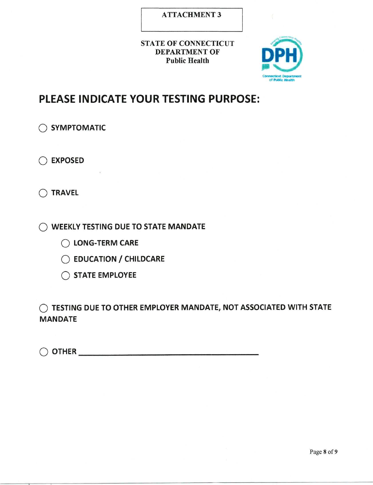## **ATTACHMENT 3**

### **STATE OF CONNECTICUT DEPARTMENT OF Public Health**



# **PLEASE INDICATE YOUR TESTING PURPOSE:**

◯ SYMPTOMATIC

◯ EXPOSED

 $\bigcap$  TRAVEL

O WEEKLY TESTING DUE TO STATE MANDATE

◯ LONG-TERM CARE

◯ EDUCATION / CHILDCARE

◯ STATE EMPLOYEE

C TESTING DUE TO OTHER EMPLOYER MANDATE, NOT ASSOCIATED WITH STATE **MANDATE** 

 $\bigcirc$  other